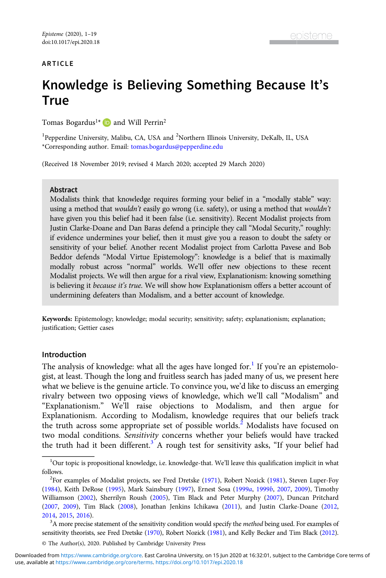## ARTICLE

# Knowledge is Believing Something Because It's **True**

Tomas Bogardus<sup>1\*</sup>  $\Box$  and Will Perrin<sup>2</sup>

<sup>1</sup>Pepperdine University, Malibu, CA, USA and <sup>2</sup>Northern Illinois University, DeKalb, IL, USA \*Corresponding author. Email: [tomas.bogardus@pepperdine.edu](mailto:tomas.bogardus@pepperdine.edu)

(Received 18 November 2019; revised 4 March 2020; accepted 29 March 2020)

#### **Abstract**

Modalists think that knowledge requires forming your belief in a "modally stable" way: using a method that *wouldn't* easily go wrong (i.e. safety), or using a method that *wouldn't* have given you this belief had it been false (i.e. sensitivity). Recent Modalist projects from Justin Clarke-Doane and Dan Baras defend a principle they call "Modal Security," roughly: if evidence undermines your belief, then it must give you a reason to doubt the safety or sensitivity of your belief. Another recent Modalist project from Carlotta Pavese and Bob Beddor defends "Modal Virtue Epistemology": knowledge is a belief that is maximally modally robust across "normal" worlds. We'll offer new objections to these recent Modalist projects. We will then argue for a rival view, Explanationism: knowing something is believing it because it's true. We will show how Explanationism offers a better account of undermining defeaters than Modalism, and a better account of knowledge.

Keywords: Epistemology; knowledge; modal security; sensitivity; safety; explanationism; explanation; justification: Gettier cases

#### Introduction

The analysis of knowledge: what all the ages have longed for.<sup>1</sup> If you're an epistemologist, at least. Though the long and fruitless search has jaded many of us, we present here what we believe is the genuine article. To convince you, we'd like to discuss an emerging rivalry between two opposing views of knowledge, which we'll call "Modalism" and "Explanationism." We'll raise objections to Modalism, and then argue for Explanationism. According to Modalism, knowledge requires that our beliefs track the truth across some appropriate set of possible worlds.<sup>2</sup> Modalists have focused on two modal conditions. Sensitivity concerns whether your beliefs would have tracked the truth had it been different.<sup>3</sup> A rough test for sensitivity asks, "If your belief had

<sup>&</sup>lt;sup>1</sup>Our topic is propositional knowledge, i.e. knowledge-that. We'll leave this qualification implicit in what follows.

<sup>&</sup>lt;sup>2</sup>For examples of Modalist projects, see Fred Dretske [\(1971\)](#page-17-0), Robert Nozick [\(1981](#page-18-0)), Steven Luper-Foy ([1984](#page-18-0)), Keith DeRose ([1995](#page-17-0)), Mark Sainsbury [\(1997](#page-18-0)), Ernest Sosa ([1999](#page-18-0)a, [1999](#page-18-0)b, [2007](#page-18-0), [2009](#page-18-0)), Timothy Williamson ([2002\)](#page-18-0), Sherrilyn Roush ([2005](#page-18-0)), Tim Black and Peter Murphy [\(2007\)](#page-17-0), Duncan Pritchard ([2007](#page-18-0), [2009](#page-18-0)), Tim Black ([2008](#page-17-0)), Jonathan Jenkins Ichikawa [\(2011\)](#page-17-0), and Justin Clarke-Doane [\(2012,](#page-17-0) [2014](#page-17-0), [2015](#page-17-0), [2016\)](#page-17-0). <sup>3</sup>

 ${}^{3}$ A more precise statement of the sensitivity condition would specify the *method* being used. For examples of sensitivity theorists, see Fred Dretske [\(1970](#page-17-0)), Robert Nozick [\(1981](#page-18-0)), and Kelly Becker and Tim Black [\(2012\)](#page-17-0).

<sup>©</sup> The Author(s), 2020. Published by Cambridge University Press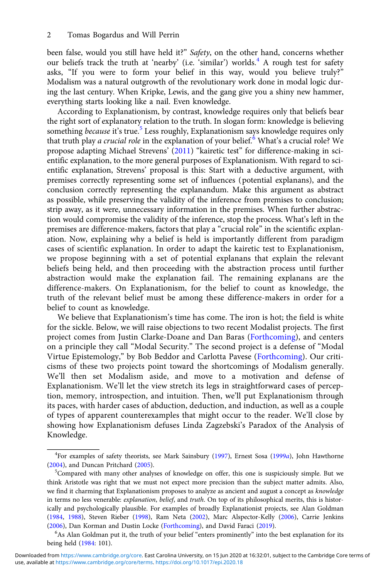been false, would you still have held it?" Safety, on the other hand, concerns whether our beliefs track the truth at 'nearby' (i.e. 'similar') worlds.<sup>4</sup> A rough test for safety asks, "If you were to form your belief in this way, would you believe truly?" Modalism was a natural outgrowth of the revolutionary work done in modal logic during the last century. When Kripke, Lewis, and the gang give you a shiny new hammer, everything starts looking like a nail. Even knowledge.

According to Explanationism, by contrast, knowledge requires only that beliefs bear the right sort of explanatory relation to the truth. In slogan form: knowledge is believing something because it's true.<sup>5</sup> Less roughly, Explanationism says knowledge requires only that truth play a crucial role in the explanation of your belief.<sup>6</sup> What's a crucial role? We propose adapting Michael Strevens' ([2011\)](#page-18-0) "kairetic test" for difference-making in scientific explanation, to the more general purposes of Explanationism. With regard to scientific explanation, Strevens' proposal is this: Start with a deductive argument, with premises correctly representing some set of influences (potential explanans), and the conclusion correctly representing the explanandum. Make this argument as abstract as possible, while preserving the validity of the inference from premises to conclusion; strip away, as it were, unnecessary information in the premises. When further abstraction would compromise the validity of the inference, stop the process. What's left in the premises are difference-makers, factors that play a "crucial role" in the scientific explanation. Now, explaining why a belief is held is importantly different from paradigm cases of scientific explanation. In order to adapt the kairetic test to Explanationism, we propose beginning with a set of potential explanans that explain the relevant beliefs being held, and then proceeding with the abstraction process until further abstraction would make the explanation fail. The remaining explanans are the difference-makers. On Explanationism, for the belief to count as knowledge, the truth of the relevant belief must be among these difference-makers in order for a belief to count as knowledge.

We believe that Explanationism's time has come. The iron is hot; the field is white for the sickle. Below, we will raise objections to two recent Modalist projects. The first project comes from Justin Clarke-Doane and Dan Baras ([Forthcoming\)](#page-17-0), and centers on a principle they call "Modal Security." The second project is a defense of "Modal Virtue Epistemology," by Bob Beddor and Carlotta Pavese ([Forthcoming\)](#page-17-0). Our criticisms of these two projects point toward the shortcomings of Modalism generally. We'll then set Modalism aside, and move to a motivation and defense of Explanationism. We'll let the view stretch its legs in straightforward cases of perception, memory, introspection, and intuition. Then, we'll put Explanationism through its paces, with harder cases of abduction, deduction, and induction, as well as a couple of types of apparent counterexamples that might occur to the reader. We'll close by showing how Explanationism defuses Linda Zagzebski's Paradox of the Analysis of Knowledge.

<sup>&</sup>lt;sup>4</sup>For examples of safety theorists, see Mark Sainsbury ([1997](#page-18-0)), Ernest Sosa ([1999](#page-18-0)a), John Hawthorne  $(2004)$  $(2004)$ , and Duncan Pritchard  $(2005)$  $(2005)$ .

 $5$ Compared with many other analyses of knowledge on offer, this one is suspiciously simple. But we think Aristotle was right that we must not expect more precision than the subject matter admits. Also, we find it charming that Explanationism proposes to analyze as ancient and august a concept as knowledge in terms no less venerable: explanation, belief, and truth. On top of its philosophical merits, this is historically and psychologically plausible. For examples of broadly Explanationist projects, see Alan Goldman ([1984,](#page-17-0) [1988](#page-17-0)), Steven Rieber ([1998](#page-18-0)), Ram Neta [\(2002\)](#page-18-0), Marc Alspector-Kelly [\(2006](#page-17-0)), Carrie Jenkins ([2006\)](#page-17-0), Dan Korman and Dustin Locke [\(Forthcoming\)](#page-18-0), and David Faraci ([2019](#page-17-0)).

<sup>&</sup>lt;sup>6</sup>As Alan Goldman put it, the truth of your belief "enters prominently" into the best explanation for its being held ([1984](#page-17-0): 101).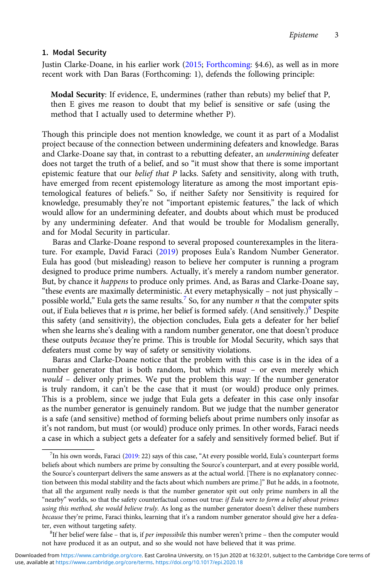## 1. Modal Security

Justin Clarke-Doane, in his earlier work [\(2015](#page-17-0); [Forthcoming](#page-17-0): §4.6), as well as in more recent work with Dan Baras (Forthcoming: 1), defends the following principle:

Modal Security: If evidence, E, undermines (rather than rebuts) my belief that P, then E gives me reason to doubt that my belief is sensitive or safe (using the method that I actually used to determine whether P).

Though this principle does not mention knowledge, we count it as part of a Modalist project because of the connection between undermining defeaters and knowledge. Baras and Clarke-Doane say that, in contrast to a rebutting defeater, an undermining defeater does not target the truth of a belief, and so "it must show that there is some important epistemic feature that our belief that P lacks. Safety and sensitivity, along with truth, have emerged from recent epistemology literature as among the most important epistemological features of beliefs." So, if neither Safety nor Sensitivity is required for knowledge, presumably they're not "important epistemic features," the lack of which would allow for an undermining defeater, and doubts about which must be produced by any undermining defeater. And that would be trouble for Modalism generally, and for Modal Security in particular.

Baras and Clarke-Doane respond to several proposed counterexamples in the literature. For example, David Faraci [\(2019](#page-17-0)) proposes Eula's Random Number Generator. Eula has good (but misleading) reason to believe her computer is running a program designed to produce prime numbers. Actually, it's merely a random number generator. But, by chance it happens to produce only primes. And, as Baras and Clarke-Doane say, "these events are maximally deterministic. At every metaphysically – not just physically – possible world," Eula gets the same results.<sup>7</sup> So, for any number *n* that the computer spits out, if Eula believes that *n* is prime, her belief is formed safely. (And sensitively.)<sup>8</sup> Despite this safety (and sensitivity), the objection concludes, Eula gets a defeater for her belief when she learns she's dealing with a random number generator, one that doesn't produce these outputs because they're prime. This is trouble for Modal Security, which says that defeaters must come by way of safety or sensitivity violations.

Baras and Clarke-Doane notice that the problem with this case is in the idea of a number generator that is both random, but which must – or even merely which would - deliver only primes. We put the problem this way: If the number generator is truly random, it can't be the case that it must (or would) produce only primes. This is a problem, since we judge that Eula gets a defeater in this case only insofar as the number generator is genuinely random. But we judge that the number generator is a safe (and sensitive) method of forming beliefs about prime numbers only insofar as it's not random, but must (or would) produce only primes. In other words, Faraci needs a case in which a subject gets a defeater for a safely and sensitively formed belief. But if

 ${}^{8}$ If her belief were false – that is, if per impossibile this number weren't prime – then the computer would not have produced it as an output, and so she would not have believed that it was prime.

 $^{7}$ In his own words, Faraci [\(2019](#page-17-0): 22) says of this case, "At every possible world, Eula's counterpart forms beliefs about which numbers are prime by consulting the Source's counterpart, and at every possible world, the Source's counterpart delivers the same answers as at the actual world. [There is no explanatory connection between this modal stability and the facts about which numbers are prime.]" But he adds, in a footnote, that all the argument really needs is that the number generator spit out only prime numbers in all the "nearby" worlds, so that the safety counterfactual comes out true: if Eula were to form a belief about primes using this method, she would believe truly. As long as the number generator doesn't deliver these numbers because they're prime, Faraci thinks, learning that it's a random number generator should give her a defeater, even without targeting safety.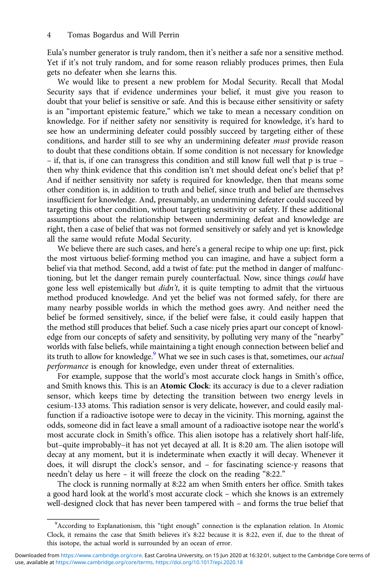Eula's number generator is truly random, then it's neither a safe nor a sensitive method. Yet if it's not truly random, and for some reason reliably produces primes, then Eula gets no defeater when she learns this.

We would like to present a new problem for Modal Security. Recall that Modal Security says that if evidence undermines your belief, it must give you reason to doubt that your belief is sensitive or safe. And this is because either sensitivity or safety is an "important epistemic feature," which we take to mean a necessary condition on knowledge. For if neither safety nor sensitivity is required for knowledge, it's hard to see how an undermining defeater could possibly succeed by targeting either of these conditions, and harder still to see why an undermining defeater must provide reason to doubt that these conditions obtain. If some condition is not necessary for knowledge – if, that is, if one can transgress this condition and still know full well that p is true – then why think evidence that this condition isn't met should defeat one's belief that p? And if neither sensitivity nor safety is required for knowledge, then that means some other condition is, in addition to truth and belief, since truth and belief are themselves insufficient for knowledge. And, presumably, an undermining defeater could succeed by targeting this other condition, without targeting sensitivity or safety. If these additional assumptions about the relationship between undermining defeat and knowledge are right, then a case of belief that was not formed sensitively or safely and yet is knowledge all the same would refute Modal Security.

We believe there are such cases, and here's a general recipe to whip one up: first, pick the most virtuous belief-forming method you can imagine, and have a subject form a belief via that method. Second, add a twist of fate: put the method in danger of malfunctioning, but let the danger remain purely counterfactual. Now, since things could have gone less well epistemically but  $d\dot{d}n't$ , it is quite tempting to admit that the virtuous method produced knowledge. And yet the belief was not formed safely, for there are many nearby possible worlds in which the method goes awry. And neither need the belief be formed sensitively, since, if the belief were false, it could easily happen that the method still produces that belief. Such a case nicely pries apart our concept of knowledge from our concepts of safety and sensitivity, by polluting very many of the "nearby" worlds with false beliefs, while maintaining a tight enough connection between belief and its truth to allow for knowledge.<sup>9</sup> What we see in such cases is that, sometimes, our *actual* performance is enough for knowledge, even under threat of externalities.

For example, suppose that the world's most accurate clock hangs in Smith's office, and Smith knows this. This is an Atomic Clock: its accuracy is due to a clever radiation sensor, which keeps time by detecting the transition between two energy levels in cesium-133 atoms. This radiation sensor is very delicate, however, and could easily malfunction if a radioactive isotope were to decay in the vicinity. This morning, against the odds, someone did in fact leave a small amount of a radioactive isotope near the world's most accurate clock in Smith's office. This alien isotope has a relatively short half-life, but–quite improbably–it has not yet decayed at all. It is 8:20 am. The alien isotope will decay at any moment, but it is indeterminate when exactly it will decay. Whenever it does, it will disrupt the clock's sensor, and – for fascinating science-y reasons that needn't delay us here – it will freeze the clock on the reading "8:22."

The clock is running normally at 8:22 am when Smith enters her office. Smith takes a good hard look at the world's most accurate clock – which she knows is an extremely well-designed clock that has never been tampered with – and forms the true belief that

<sup>&</sup>lt;sup>9</sup> According to Explanationism, this "tight enough" connection is the explanation relation. In Atomic Clock, it remains the case that Smith believes it's 8:22 because it is 8:22, even if, due to the threat of this isotope, the actual world is surrounded by an ocean of error.

use, available at <https://www.cambridge.org/core/terms>.<https://doi.org/10.1017/epi.2020.18> Downloaded from [https://www.cambridge.org/core.](https://www.cambridge.org/core) East Carolina University, on 15 Jun 2020 at 16:32:01, subject to the Cambridge Core terms of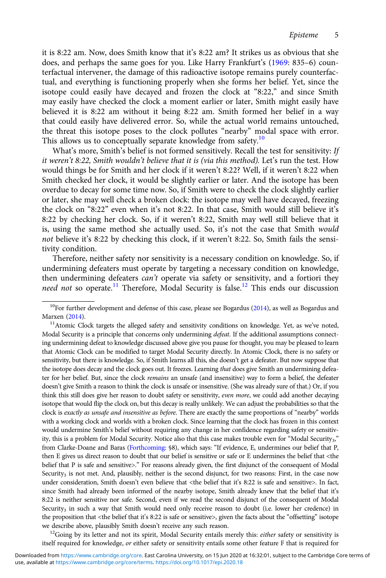it is 8:22 am. Now, does Smith know that it's 8:22 am? It strikes us as obvious that she does, and perhaps the same goes for you. Like Harry Frankfurt's [\(1969:](#page-17-0) 835–6) counterfactual intervener, the damage of this radioactive isotope remains purely counterfactual, and everything is functioning properly when she forms her belief. Yet, since the isotope could easily have decayed and frozen the clock at "8:22," and since Smith may easily have checked the clock a moment earlier or later, Smith might easily have believed it is 8:22 am without it being 8:22 am. Smith formed her belief in a way that could easily have delivered error. So, while the actual world remains untouched, the threat this isotope poses to the clock pollutes "nearby" modal space with error. This allows us to conceptually separate knowledge from safety.<sup>10</sup>

What's more, Smith's belief is not formed sensitively. Recall the test for sensitivity: If it weren't 8:22, Smith wouldn't believe that it is (via this method). Let's run the test. How would things be for Smith and her clock if it weren't 8:22? Well, if it weren't 8:22 when Smith checked her clock, it would be slightly earlier or later. And the isotope has been overdue to decay for some time now. So, if Smith were to check the clock slightly earlier or later, she may well check a broken clock: the isotope may well have decayed, freezing the clock on "8:22" even when it's not 8:22. In that case, Smith would still believe it's 8:22 by checking her clock. So, if it weren't 8:22, Smith may well still believe that it is, using the same method she actually used. So, it's not the case that Smith would not believe it's 8:22 by checking this clock, if it weren't 8:22. So, Smith fails the sensitivity condition.

Therefore, neither safety nor sensitivity is a necessary condition on knowledge. So, if undermining defeaters must operate by targeting a necessary condition on knowledge, then undermining defeaters can't operate via safety or sensitivity, and a fortiori they need not so operate.<sup>11</sup> Therefore, Modal Security is false.<sup>12</sup> This ends our discussion

itself required for knowledge, or either safety or sensitivity entails some other feature F that is required for

 $10$ For further development and defense of this case, please see Bogardus ([2014\)](#page-17-0), as well as Bogardus and Marxen [\(2014\)](#page-17-0).<br><sup>11</sup>Atomic Clock targets the alleged safety and sensitivity conditions on knowledge. Yet, as we've noted,

Modal Security is a principle that concerns only undermining *defeat*. If the additional assumptions connecting undermining defeat to knowledge discussed above give you pause for thought, you may be pleased to learn that Atomic Clock can be modified to target Modal Security directly. In Atomic Clock, there is no safety or sensitivity, but there is knowledge. So, if Smith learns all this, she doesn't get a defeater. But now suppose that the isotope does decay and the clock goes out. It freezes. Learning that does give Smith an undermining defeater for her belief. But, since the clock remains an unsafe (and insensitive) way to form a belief, the defeater doesn't give Smith a reason to think the clock is unsafe or insensitive. (She was already sure of that.) Or, if you think this still does give her reason to doubt safety or sensitivity, even more, we could add another decaying isotope that would flip the clock on, but this decay is really unlikely. We can adjust the probabilities so that the clock is exactly as unsafe and insensitive as before. There are exactly the same proportions of "nearby" worlds with a working clock and worlds with a broken clock. Since learning that the clock has frozen in this context would undermine Smith's belief without requiring any change in her confidence regarding safety or sensitivity, this is a problem for Modal Security. Notice also that this case makes trouble even for "Modal Security<sub>3</sub>," from Clarke-Doane and Baras [\(Forthcoming:](#page-17-0) §8), which says: "If evidence, E, undermines our belief that P, then E gives us direct reason to doubt that our belief is sensitive or safe or E undermines the belief that <the belief that P is safe and sensitive>." For reasons already given, the first disjunct of the consequent of Modal Security<sub>3</sub> is not met. And, plausibly, neither is the second disjunct, for two reasons: First, in the case now under consideration, Smith doesn't even believe that <the belief that it's 8:22 is safe and sensitive>. In fact, since Smith had already been informed of the nearby isotope, Smith already knew that the belief that it's 8:22 is neither sensitive nor safe. Second, even if we read the second disjunct of the consequent of Modal Security<sub>3</sub> in such a way that Smith would need only receive reason to doubt (i.e. lower her credence) in the proposition that <the belief that it's 8:22 is safe or sensitive>, given the facts about the "offsetting" isotope we describe above, plausibly Smith doesn't receive any such reason.<br><sup>12</sup>Going by its letter and not its spirit, Modal Security entails merely this: *either* safety or sensitivity is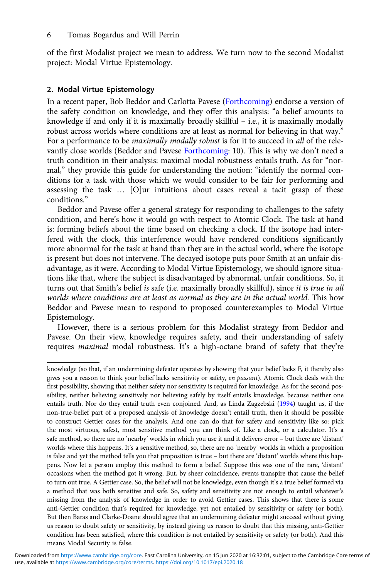of the first Modalist project we mean to address. We turn now to the second Modalist project: Modal Virtue Epistemology.

## 2. Modal Virtue Epistemology

In a recent paper, Bob Beddor and Carlotta Pavese [\(Forthcoming](#page-17-0)) endorse a version of the safety condition on knowledge, and they offer this analysis: "a belief amounts to knowledge if and only if it is maximally broadly skillful – i.e., it is maximally modally robust across worlds where conditions are at least as normal for believing in that way." For a performance to be *maximally modally robust* is for it to succeed in *all* of the relevantly close worlds (Beddor and Pavese [Forthcoming:](#page-17-0) 10). This is why we don't need a truth condition in their analysis: maximal modal robustness entails truth. As for "normal," they provide this guide for understanding the notion: "identify the normal conditions for a task with those which we would consider to be fair for performing and assessing the task … [O]ur intuitions about cases reveal a tacit grasp of these conditions."

Beddor and Pavese offer a general strategy for responding to challenges to the safety condition, and here's how it would go with respect to Atomic Clock. The task at hand is: forming beliefs about the time based on checking a clock. If the isotope had interfered with the clock, this interference would have rendered conditions significantly more abnormal for the task at hand than they are in the actual world, where the isotope is present but does not intervene. The decayed isotope puts poor Smith at an unfair disadvantage, as it were. According to Modal Virtue Epistemology, we should ignore situations like that, where the subject is disadvantaged by abnormal, unfair conditions. So, it turns out that Smith's belief is safe (i.e. maximally broadly skillful), since it is true in all worlds where conditions are at least as normal as they are in the actual world. This how Beddor and Pavese mean to respond to proposed counterexamples to Modal Virtue Epistemology.

However, there is a serious problem for this Modalist strategy from Beddor and Pavese. On their view, knowledge requires safety, and their understanding of safety requires maximal modal robustness. It's a high-octane brand of safety that they're

knowledge (so that, if an undermining defeater operates by showing that your belief lacks F, it thereby also gives you a reason to think your belief lacks sensitivity or safety, en passant). Atomic Clock deals with the first possibility, showing that neither safety nor sensitivity is required for knowledge. As for the second possibility, neither believing sensitively nor believing safely by itself entails knowledge, because neither one entails truth. Nor do they entail truth even conjoined. And, as Linda Zagzebski ([1994\)](#page-18-0) taught us, if the non-true-belief part of a proposed analysis of knowledge doesn't entail truth, then it should be possible to construct Gettier cases for the analysis. And one can do that for safety and sensitivity like so: pick the most virtuous, safest, most sensitive method you can think of. Like a clock, or a calculator. It's a safe method, so there are no 'nearby' worlds in which you use it and it delivers error – but there are 'distant' worlds where this happens. It's a sensitive method, so, there are no 'nearby' worlds in which a proposition is false and yet the method tells you that proposition is true – but there are 'distant' worlds where this happens. Now let a person employ this method to form a belief. Suppose this was one of the rare, 'distant' occasions when the method got it wrong. But, by sheer coincidence, events transpire that cause the belief to turn out true. A Gettier case. So, the belief will not be knowledge, even though it's a true belief formed via a method that was both sensitive and safe. So, safety and sensitivity are not enough to entail whatever's missing from the analysis of knowledge in order to avoid Gettier cases. This shows that there is some anti-Gettier condition that's required for knowledge, yet not entailed by sensitivity or safety (or both). But then Baras and Clarke-Doane should agree that an undermining defeater might succeed without giving us reason to doubt safety or sensitivity, by instead giving us reason to doubt that this missing, anti-Gettier condition has been satisfied, where this condition is not entailed by sensitivity or safety (or both). And this means Modal Security is false.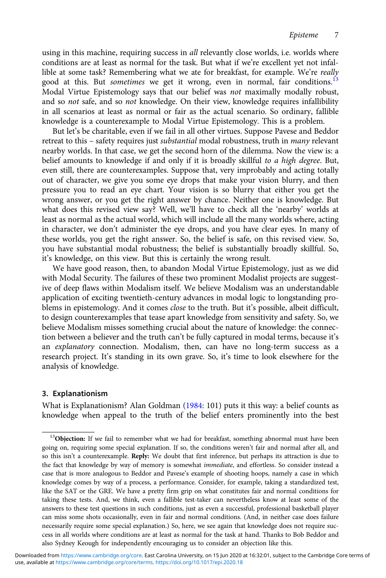using in this machine, requiring success in all relevantly close worlds, i.e. worlds where conditions are at least as normal for the task. But what if we're excellent yet not infallible at some task? Remembering what we ate for breakfast, for example. We're really good at this. But *sometimes* we get it wrong, even in normal, fair conditions.<sup>13</sup> Modal Virtue Epistemology says that our belief was not maximally modally robust, and so *not* safe, and so *not* knowledge. On their view, knowledge requires infallibility in all scenarios at least as normal or fair as the actual scenario. So ordinary, fallible knowledge is a counterexample to Modal Virtue Epistemology. This is a problem.

But let's be charitable, even if we fail in all other virtues. Suppose Pavese and Beddor retreat to this – safety requires just substantial modal robustness, truth in many relevant nearby worlds. In that case, we get the second horn of the dilemma. Now the view is: a belief amounts to knowledge if and only if it is broadly skillful to a high degree. But, even still, there are counterexamples. Suppose that, very improbably and acting totally out of character, we give you some eye drops that make your vision blurry, and then pressure you to read an eye chart. Your vision is so blurry that either you get the wrong answer, or you get the right answer by chance. Neither one is knowledge. But what does this revised view say? Well, we'll have to check all the 'nearby' worlds at least as normal as the actual world, which will include all the many worlds where, acting in character, we don't administer the eye drops, and you have clear eyes. In many of these worlds, you get the right answer. So, the belief is safe, on this revised view. So, you have substantial modal robustness; the belief is substantially broadly skillful. So, it's knowledge, on this view. But this is certainly the wrong result.

We have good reason, then, to abandon Modal Virtue Epistemology, just as we did with Modal Security. The failures of these two prominent Modalist projects are suggestive of deep flaws within Modalism itself. We believe Modalism was an understandable application of exciting twentieth-century advances in modal logic to longstanding problems in epistemology. And it comes close to the truth. But it's possible, albeit difficult, to design counterexamples that tease apart knowledge from sensitivity and safety. So, we believe Modalism misses something crucial about the nature of knowledge: the connection between a believer and the truth can't be fully captured in modal terms, because it's an explanatory connection. Modalism, then, can have no long-term success as a research project. It's standing in its own grave. So, it's time to look elsewhere for the analysis of knowledge.

## 3. Explanationism

What is Explanationism? Alan Goldman [\(1984:](#page-17-0) 101) puts it this way: a belief counts as knowledge when appeal to the truth of the belief enters prominently into the best

<sup>&</sup>lt;sup>13</sup>Objection: If we fail to remember what we had for breakfast, something abnormal must have been going on, requiring some special explanation. If so, the conditions weren't fair and normal after all, and so this isn't a counterexample. Reply: We doubt that first inference, but perhaps its attraction is due to the fact that knowledge by way of memory is somewhat immediate, and effortless. So consider instead a case that is more analogous to Beddor and Pavese's example of shooting hoops, namely a case in which knowledge comes by way of a process, a performance. Consider, for example, taking a standardized test, like the SAT or the GRE. We have a pretty firm grip on what constitutes fair and normal conditions for taking these tests. And, we think, even a fallible test-taker can nevertheless know at least some of the answers to these test questions in such conditions, just as even a successful, professional basketball player can miss some shots occasionally, even in fair and normal conditions. (And, in neither case does failure necessarily require some special explanation.) So, here, we see again that knowledge does not require success in all worlds where conditions are at least as normal for the task at hand. Thanks to Bob Beddor and also Sydney Keough for independently encouraging us to consider an objection like this.

use, available at <https://www.cambridge.org/core/terms>.<https://doi.org/10.1017/epi.2020.18> Downloaded from [https://www.cambridge.org/core.](https://www.cambridge.org/core) East Carolina University, on 15 Jun 2020 at 16:32:01, subject to the Cambridge Core terms of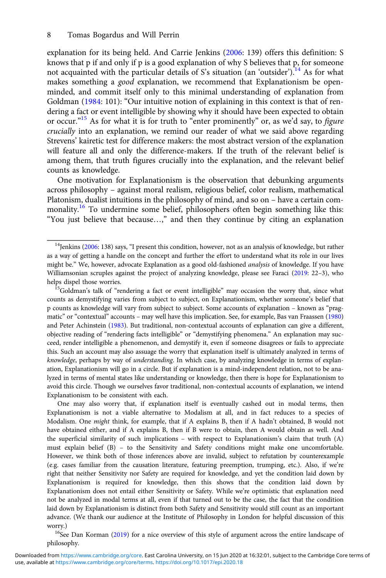explanation for its being held. And Carrie Jenkins [\(2006:](#page-17-0) 139) offers this definition: S knows that p if and only if p is a good explanation of why S believes that p, for someone not acquainted with the particular details of S's situation (an 'outsider').<sup>14</sup> As for what makes something a good explanation, we recommend that Explanationism be openminded, and commit itself only to this minimal understanding of explanation from Goldman ([1984](#page-17-0): 101): "Our intuitive notion of explaining in this context is that of rendering a fact or event intelligible by showing why it should have been expected to obtain or occur."<sup>15</sup> As for what it is for truth to "enter prominently" or, as we'd say, to figure crucially into an explanation, we remind our reader of what we said above regarding Strevens' kairetic test for difference makers: the most abstract version of the explanation will feature all and only the difference-makers. If the truth of the relevant belief is among them, that truth figures crucially into the explanation, and the relevant belief counts as knowledge.

One motivation for Explanationism is the observation that debunking arguments across philosophy – against moral realism, religious belief, color realism, mathematical Platonism, dualist intuitions in the philosophy of mind, and so on – have a certain commonality.<sup>16</sup> To undermine some belief, philosophers often begin something like this: "You just believe that because…," and then they continue by citing an explanation

One may also worry that, if explanation itself is eventually cashed out in modal terms, then Explanationism is not a viable alternative to Modalism at all, and in fact reduces to a species of Modalism. One might think, for example, that if A explains B, then if A hadn't obtained, B would not have obtained either, and if A explains B, then if B were to obtain, then A would obtain as well. And the superficial similarity of such implications – with respect to Explanationism's claim that truth (A) must explain belief (B) – to the Sensitivity and Safety conditions might make one uncomfortable. However, we think both of those inferences above are invalid, subject to refutation by counterexample (e.g. cases familiar from the causation literature, featuring preemption, trumping, etc.). Also, if we're right that neither Sensitivity nor Safety are required for knowledge, and yet the condition laid down by Explanationism is required for knowledge, then this shows that the condition laid down by Explanationism does not entail either Sensitivity or Safety. While we're optimistic that explanation need not be analyzed in modal terms at all, even if that turned out to be the case, the fact that the condition laid down by Explanationism is distinct from both Safety and Sensitivity would still count as an important advance. (We thank our audience at the Institute of Philosophy in London for helpful discussion of this worry.)<br><sup>16</sup>See Dan Korman [\(2019](#page-18-0)) for a nice overview of this style of argument across the entire landscape of

philosophy.

<sup>&</sup>lt;sup>14</sup>Jenkins ([2006](#page-17-0): 138) says, "I present this condition, however, not as an analysis of knowledge, but rather as a way of getting a handle on the concept and further the effort to understand what its role in our lives might be." We, however, advocate Explanation as a good old-fashioned *analysis* of knowledge. If you have Williamsonian scruples against the project of analyzing knowledge, please see Faraci [\(2019](#page-17-0): 22–3), who helps dispel those worries.<br><sup>15</sup>Goldman's talk of "rendering a fact or event intelligible" may occasion the worry that, since what

counts as demystifying varies from subject to subject, on Explanationism, whether someone's belief that p counts as knowledge will vary from subject to subject. Some accounts of explanation – known as "pragmatic" or "contextual" accounts – may well have this implication. See, for example, Bas van Fraassen [\(1980](#page-18-0)) and Peter Achinstein ([1983](#page-17-0)). But traditional, non-contextual accounts of explanation can give a different, objective reading of "rendering facts intelligible" or "demystifying phenomena." An explanation may succeed, render intelligible a phenomenon, and demystify it, even if someone disagrees or fails to appreciate this. Such an account may also assuage the worry that explanation itself is ultimately analyzed in terms of knowledge, perhaps by way of understanding. In which case, by analyzing knowledge in terms of explanation, Explanationism will go in a circle. But if explanation is a mind-independent relation, not to be analyzed in terms of mental states like understanding or knowledge, then there is hope for Explanationism to avoid this circle. Though we ourselves favor traditional, non-contextual accounts of explanation, we intend Explanationism to be consistent with each.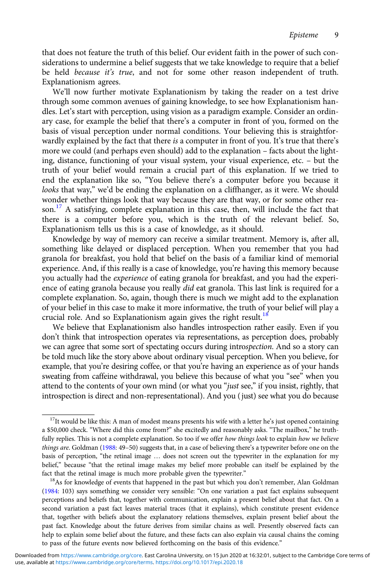that does not feature the truth of this belief. Our evident faith in the power of such considerations to undermine a belief suggests that we take knowledge to require that a belief be held because it's true, and not for some other reason independent of truth. Explanationism agrees.

We'll now further motivate Explanationism by taking the reader on a test drive through some common avenues of gaining knowledge, to see how Explanationism handles. Let's start with perception, using vision as a paradigm example. Consider an ordinary case, for example the belief that there's a computer in front of you, formed on the basis of visual perception under normal conditions. Your believing this is straightforwardly explained by the fact that there is a computer in front of you. It's true that there's more we could (and perhaps even should) add to the explanation – facts about the lighting, distance, functioning of your visual system, your visual experience, etc. – but the truth of your belief would remain a crucial part of this explanation. If we tried to end the explanation like so, "You believe there's a computer before you because it looks that way," we'd be ending the explanation on a cliffhanger, as it were. We should wonder whether things look that way because they are that way, or for some other reason.<sup>17</sup> A satisfying, complete explanation in this case, then, will include the fact that there is a computer before you, which is the truth of the relevant belief. So, Explanationism tells us this is a case of knowledge, as it should.

Knowledge by way of memory can receive a similar treatment. Memory is, after all, something like delayed or displaced perception. When you remember that you had granola for breakfast, you hold that belief on the basis of a familiar kind of memorial experience. And, if this really is a case of knowledge, you're having this memory because you actually had the *experience* of eating granola for breakfast, and you had the experience of eating granola because you really *did* eat granola. This last link is required for a complete explanation. So, again, though there is much we might add to the explanation of your belief in this case to make it more informative, the truth of your belief will play a crucial role. And so Explanationism again gives the right result.<sup>18</sup>

We believe that Explanationism also handles introspection rather easily. Even if you don't think that introspection operates via representations, as perception does, probably we can agree that some sort of spectating occurs during introspection. And so a story can be told much like the story above about ordinary visual perception. When you believe, for example, that you're desiring coffee, or that you're having an experience as of your hands sweating from caffeine withdrawal, you believe this because of what you "see" when you attend to the contents of your own mind (or what you "just see," if you insist, rightly, that introspection is direct and non-representational). And you (just) see what you do because

 $17$ It would be like this: A man of modest means presents his wife with a letter he's just opened containing a \$50,000 check. "Where did this come from?" she excitedly and reasonably asks. "The mailbox," he truthfully replies. This is not a complete explanation. So too if we offer how things look to explain how we believe things are. Goldman [\(1988](#page-17-0): 49-50) suggests that, in a case of believing there's a typewriter before one on the basis of perception, "the retinal image … does not screen out the typewriter in the explanation for my belief," because "that the retinal image makes my belief more probable can itself be explained by the fact that the retinal image is much more probable given the typewriter."<br><sup>18</sup>As for knowledge of events that happened in the past but which you don't remember, Alan Goldman

<sup>(</sup>[1984](#page-17-0): 103) says something we consider very sensible: "On one variation a past fact explains subsequent perceptions and beliefs that, together with communication, explain a present belief about that fact. On a second variation a past fact leaves material traces (that it explains), which constitute present evidence that, together with beliefs about the explanatory relations themselves, explain present belief about the past fact. Knowledge about the future derives from similar chains as well. Presently observed facts can help to explain some belief about the future, and these facts can also explain via causal chains the coming to pass of the future events now believed forthcoming on the basis of this evidence."

use, available at <https://www.cambridge.org/core/terms>.<https://doi.org/10.1017/epi.2020.18> Downloaded from [https://www.cambridge.org/core.](https://www.cambridge.org/core) East Carolina University, on 15 Jun 2020 at 16:32:01, subject to the Cambridge Core terms of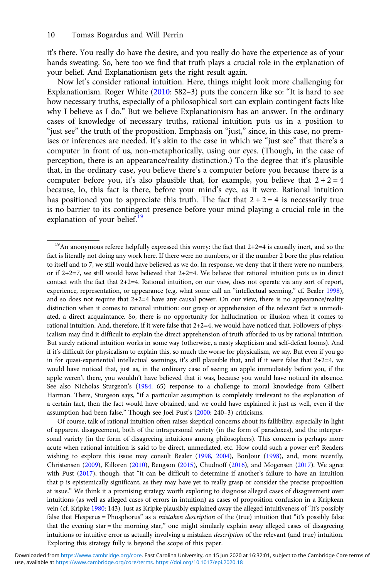it's there. You really do have the desire, and you really do have the experience as of your hands sweating. So, here too we find that truth plays a crucial role in the explanation of your belief. And Explanationism gets the right result again.

Now let's consider rational intuition. Here, things might look more challenging for Explanationism. Roger White [\(2010:](#page-18-0) 582–3) puts the concern like so: "It is hard to see how necessary truths, especially of a philosophical sort can explain contingent facts like why I believe as I do." But we believe Explanationism has an answer. In the ordinary cases of knowledge of necessary truths, rational intuition puts us in a position to "just see" the truth of the proposition. Emphasis on "just," since, in this case, no premises or inferences are needed. It's akin to the case in which we "just see" that there's a computer in front of us, non-metaphorically, using our eyes. (Though, in the case of perception, there is an appearance/reality distinction.) To the degree that it's plausible that, in the ordinary case, you believe there's a computer before you because there is a computer before you, it's also plausible that, for example, you believe that  $2 + 2 = 4$ because, lo, this fact is there, before your mind's eye, as it were. Rational intuition has positioned you to appreciate this truth. The fact that  $2 + 2 = 4$  is necessarily true is no barrier to its contingent presence before your mind playing a crucial role in the explanation of your belief.<sup>19</sup>

Of course, talk of rational intuition often raises skeptical concerns about its fallibility, especially in light of apparent disagreement, both of the intrapersonal variety (in the form of paradoxes), and the interpersonal variety (in the form of disagreeing intuitions among philosophers). This concern is perhaps more acute when rational intuition is said to be direct, unmediated, etc. How could such a power err? Readers wishing to explore this issue may consult Bealer ([1998,](#page-17-0) [2004](#page-17-0)), BonJour [\(1998](#page-17-0)), and, more recently, Christensen [\(2009\)](#page-17-0), Killoren [\(2010](#page-18-0)), Bengson [\(2015\)](#page-17-0), Chudnoff [\(2016\)](#page-17-0), and Mogensen [\(2017\)](#page-18-0). We agree with Pust [\(2017](#page-18-0)), though, that "it can be difficult to determine if another's failure to have an intuition that p is epistemically significant, as they may have yet to really grasp or consider the precise proposition at issue." We think it a promising strategy worth exploring to diagnose alleged cases of disagreement over intuitions (as well as alleged cases of errors in intuition) as cases of proposition confusion in a Kripkean vein (cf. Kripke [1980:](#page-18-0) 143). Just as Kripke plausibly explained away the alleged intuitiveness of "It's possibly false that Hesperus = Phosphorus" as a mistaken description of the (true) intuition that "it's possibly false that the evening star = the morning star," one might similarly explain away alleged cases of disagreeing intuitions or intuitive error as actually involving a mistaken description of the relevant (and true) intuition. Exploring this strategy fully is beyond the scope of this paper.

 $19$ An anonymous referee helpfully expressed this worry: the fact that  $2+2=4$  is causally inert, and so the fact is literally not doing any work here. If there were no numbers, or if the number 2 bore the plus relation to itself and to 7, we still would have believed as we do. In response, we deny that if there were no numbers, or if  $2+2=7$ , we still would have believed that  $2+2=4$ . We believe that rational intuition puts us in direct contact with the fact that 2+2=4. Rational intuition, on our view, does not operate via any sort of report, experience, representation, or appearance (e.g. what some call an "intellectual seeming," cf. Bealer [1998\)](#page-17-0), and so does not require that  $2+2=4$  have any causal power. On our view, there is no appearance/reality distinction when it comes to rational intuition: our grasp or apprehension of the relevant fact is unmediated, a direct acquaintance. So, there is no opportunity for hallucination or illusion when it comes to rational intuition. And, therefore, if it were false that 2+2=4, we would have noticed that. Followers of physicalism may find it difficult to explain the direct apprehension of truth afforded to us by rational intuition. But surely rational intuition works in some way (otherwise, a nasty skepticism and self-defeat looms). And if it's difficult for physicalism to explain this, so much the worse for physicalism, we say. But even if you go in for quasi-experiential intellectual seemings, it's still plausible that, and if it were false that  $2+2=4$ , we would have noticed that, just as, in the ordinary case of seeing an apple immediately before you, if the apple weren't there, you wouldn't have believed that it was, because you would have noticed its absence. See also Nicholas Sturgeon's [\(1984](#page-18-0): 65) response to a challenge to moral knowledge from Gilbert Harman. There, Sturgeon says, "if a particular assumption is completely irrelevant to the explanation of a certain fact, then the fact would have obtained, and we could have explained it just as well, even if the assumption had been false." Though see Joel Pust's ([2000:](#page-18-0) 240–3) criticisms.

use, available at <https://www.cambridge.org/core/terms>.<https://doi.org/10.1017/epi.2020.18> Downloaded from [https://www.cambridge.org/core.](https://www.cambridge.org/core) East Carolina University, on 15 Jun 2020 at 16:32:01, subject to the Cambridge Core terms of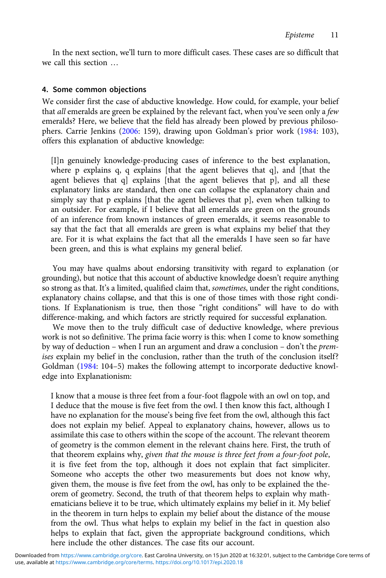In the next section, we'll turn to more difficult cases. These cases are so difficult that we call this section …

## 4. Some common objections

We consider first the case of abductive knowledge. How could, for example, your belief that all emeralds are green be explained by the relevant fact, when you've seen only a few emeralds? Here, we believe that the field has already been plowed by previous philosophers. Carrie Jenkins ([2006](#page-17-0): 159), drawing upon Goldman's prior work [\(1984:](#page-17-0) 103), offers this explanation of abductive knowledge:

[I]n genuinely knowledge-producing cases of inference to the best explanation, where p explains q, q explains [that the agent believes that q], and [that the agent believes that q] explains [that the agent believes that p], and all these explanatory links are standard, then one can collapse the explanatory chain and simply say that p explains [that the agent believes that p], even when talking to an outsider. For example, if I believe that all emeralds are green on the grounds of an inference from known instances of green emeralds, it seems reasonable to say that the fact that all emeralds are green is what explains my belief that they are. For it is what explains the fact that all the emeralds I have seen so far have been green, and this is what explains my general belief.

You may have qualms about endorsing transitivity with regard to explanation (or grounding), but notice that this account of abductive knowledge doesn't require anything so strong as that. It's a limited, qualified claim that, sometimes, under the right conditions, explanatory chains collapse, and that this is one of those times with those right conditions. If Explanationism is true, then those "right conditions" will have to do with difference-making, and which factors are strictly required for successful explanation.

We move then to the truly difficult case of deductive knowledge, where previous work is not so definitive. The prima facie worry is this: when I come to know something by way of deduction – when I run an argument and draw a conclusion – don't the premises explain my belief in the conclusion, rather than the truth of the conclusion itself? Goldman ([1984](#page-17-0): 104–5) makes the following attempt to incorporate deductive knowledge into Explanationism:

I know that a mouse is three feet from a four-foot flagpole with an owl on top, and I deduce that the mouse is five feet from the owl. I then know this fact, although I have no explanation for the mouse's being five feet from the owl, although this fact does not explain my belief. Appeal to explanatory chains, however, allows us to assimilate this case to others within the scope of the account. The relevant theorem of geometry is the common element in the relevant chains here. First, the truth of that theorem explains why, given that the mouse is three feet from a four-foot pole, it is five feet from the top, although it does not explain that fact simpliciter. Someone who accepts the other two measurements but does not know why, given them, the mouse is five feet from the owl, has only to be explained the theorem of geometry. Second, the truth of that theorem helps to explain why mathematicians believe it to be true, which ultimately explains my belief in it. My belief in the theorem in turn helps to explain my belief about the distance of the mouse from the owl. Thus what helps to explain my belief in the fact in question also helps to explain that fact, given the appropriate background conditions, which here include the other distances. The case fits our account.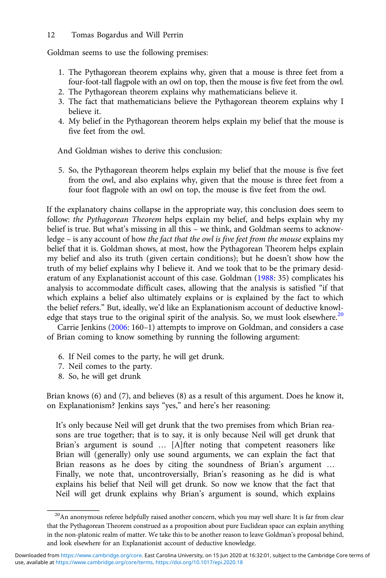## 12 Tomas Bogardus and Will Perrin

Goldman seems to use the following premises:

- 1. The Pythagorean theorem explains why, given that a mouse is three feet from a four-foot-tall flagpole with an owl on top, then the mouse is five feet from the owl.
- 2. The Pythagorean theorem explains why mathematicians believe it.
- 3. The fact that mathematicians believe the Pythagorean theorem explains why I believe it.
- 4. My belief in the Pythagorean theorem helps explain my belief that the mouse is five feet from the owl.

And Goldman wishes to derive this conclusion:

5. So, the Pythagorean theorem helps explain my belief that the mouse is five feet from the owl, and also explains why, given that the mouse is three feet from a four foot flagpole with an owl on top, the mouse is five feet from the owl.

If the explanatory chains collapse in the appropriate way, this conclusion does seem to follow: the Pythagorean Theorem helps explain my belief, and helps explain why my belief is true. But what's missing in all this – we think, and Goldman seems to acknowledge – is any account of how the fact that the owl is five feet from the mouse explains my belief that it is. Goldman shows, at most, how the Pythagorean Theorem helps explain my belief and also its truth (given certain conditions); but he doesn't show how the truth of my belief explains why I believe it. And we took that to be the primary desideratum of any Explanationist account of this case. Goldman ([1988:](#page-17-0) 35) complicates his analysis to accommodate difficult cases, allowing that the analysis is satisfied "if that which explains a belief also ultimately explains or is explained by the fact to which the belief refers." But, ideally, we'd like an Explanationism account of deductive knowledge that stays true to the original spirit of the analysis. So, we must look elsewhere. $20$ 

Carrie Jenkins [\(2006](#page-17-0): 160–1) attempts to improve on Goldman, and considers a case of Brian coming to know something by running the following argument:

- 6. If Neil comes to the party, he will get drunk.
- 7. Neil comes to the party.
- 8. So, he will get drunk

Brian knows (6) and (7), and believes (8) as a result of this argument. Does he know it, on Explanationism? Jenkins says "yes," and here's her reasoning:

It's only because Neil will get drunk that the two premises from which Brian reasons are true together; that is to say, it is only because Neil will get drunk that Brian's argument is sound … [A]fter noting that competent reasoners like Brian will (generally) only use sound arguments, we can explain the fact that Brian reasons as he does by citing the soundness of Brian's argument … Finally, we note that, uncontroversially, Brian's reasoning as he did is what explains his belief that Neil will get drunk. So now we know that the fact that Neil will get drunk explains why Brian's argument is sound, which explains

<sup>&</sup>lt;sup>20</sup>An anonymous referee helpfully raised another concern, which you may well share: It is far from clear that the Pythagorean Theorem construed as a proposition about pure Euclidean space can explain anything in the non-platonic realm of matter. We take this to be another reason to leave Goldman's proposal behind, and look elsewhere for an Explanationist account of deductive knowledge.

use, available at <https://www.cambridge.org/core/terms>.<https://doi.org/10.1017/epi.2020.18> Downloaded from [https://www.cambridge.org/core.](https://www.cambridge.org/core) East Carolina University, on 15 Jun 2020 at 16:32:01, subject to the Cambridge Core terms of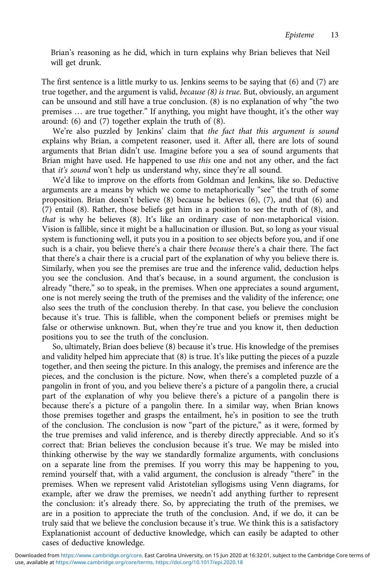Brian's reasoning as he did, which in turn explains why Brian believes that Neil will get drunk.

The first sentence is a little murky to us. Jenkins seems to be saying that (6) and (7) are true together, and the argument is valid, because (8) is true. But, obviously, an argument can be unsound and still have a true conclusion. (8) is no explanation of why "the two premises … are true together." If anything, you might have thought, it's the other way around: (6) and (7) together explain the truth of (8).

We're also puzzled by Jenkins' claim that the fact that this argument is sound explains why Brian, a competent reasoner, used it. After all, there are lots of sound arguments that Brian didn't use. Imagine before you a sea of sound arguments that Brian might have used. He happened to use this one and not any other, and the fact that it's sound won't help us understand why, since they're all sound.

We'd like to improve on the efforts from Goldman and Jenkins, like so. Deductive arguments are a means by which we come to metaphorically "see" the truth of some proposition. Brian doesn't believe (8) because he believes (6), (7), and that (6) and (7) entail (8). Rather, those beliefs get him in a position to see the truth of (8), and that is why he believes (8). It's like an ordinary case of non-metaphorical vision. Vision is fallible, since it might be a hallucination or illusion. But, so long as your visual system is functioning well, it puts you in a position to see objects before you, and if one such is a chair, you believe there's a chair there because there's a chair there. The fact that there's a chair there is a crucial part of the explanation of why you believe there is. Similarly, when you see the premises are true and the inference valid, deduction helps you see the conclusion. And that's because, in a sound argument, the conclusion is already "there," so to speak, in the premises. When one appreciates a sound argument, one is not merely seeing the truth of the premises and the validity of the inference; one also sees the truth of the conclusion thereby. In that case, you believe the conclusion because it's true. This is fallible, when the component beliefs or premises might be false or otherwise unknown. But, when they're true and you know it, then deduction positions you to see the truth of the conclusion.

So, ultimately, Brian does believe (8) because it's true. His knowledge of the premises and validity helped him appreciate that (8) is true. It's like putting the pieces of a puzzle together, and then seeing the picture. In this analogy, the premises and inference are the pieces, and the conclusion is the picture. Now, when there's a completed puzzle of a pangolin in front of you, and you believe there's a picture of a pangolin there, a crucial part of the explanation of why you believe there's a picture of a pangolin there is because there's a picture of a pangolin there. In a similar way, when Brian knows those premises together and grasps the entailment, he's in position to see the truth of the conclusion. The conclusion is now "part of the picture," as it were, formed by the true premises and valid inference, and is thereby directly appreciable. And so it's correct that: Brian believes the conclusion because it's true. We may be misled into thinking otherwise by the way we standardly formalize arguments, with conclusions on a separate line from the premises. If you worry this may be happening to you, remind yourself that, with a valid argument, the conclusion is already "there" in the premises. When we represent valid Aristotelian syllogisms using Venn diagrams, for example, after we draw the premises, we needn't add anything further to represent the conclusion: it's already there. So, by appreciating the truth of the premises, we are in a position to appreciate the truth of the conclusion. And, if we do, it can be truly said that we believe the conclusion because it's true. We think this is a satisfactory Explanationist account of deductive knowledge, which can easily be adapted to other cases of deductive knowledge.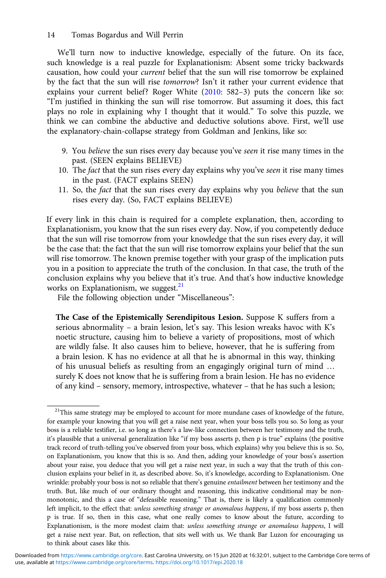## 14 Tomas Bogardus and Will Perrin

We'll turn now to inductive knowledge, especially of the future. On its face, such knowledge is a real puzzle for Explanationism: Absent some tricky backwards causation, how could your current belief that the sun will rise tomorrow be explained by the fact that the sun will rise tomorrow? Isn't it rather your current evidence that explains your current belief? Roger White [\(2010](#page-18-0): 582–3) puts the concern like so: "I'm justified in thinking the sun will rise tomorrow. But assuming it does, this fact plays no role in explaining why I thought that it would." To solve this puzzle, we think we can combine the abductive and deductive solutions above. First, we'll use the explanatory-chain-collapse strategy from Goldman and Jenkins, like so:

- 9. You believe the sun rises every day because you've seen it rise many times in the past. (SEEN explains BELIEVE)
- 10. The fact that the sun rises every day explains why you've *seen* it rise many times in the past. (FACT explains SEEN)
- 11. So, the fact that the sun rises every day explains why you believe that the sun rises every day. (So, FACT explains BELIEVE)

If every link in this chain is required for a complete explanation, then, according to Explanationism, you know that the sun rises every day. Now, if you competently deduce that the sun will rise tomorrow from your knowledge that the sun rises every day, it will be the case that: the fact that the sun will rise tomorrow explains your belief that the sun will rise tomorrow. The known premise together with your grasp of the implication puts you in a position to appreciate the truth of the conclusion. In that case, the truth of the conclusion explains why you believe that it's true. And that's how inductive knowledge works on Explanationism, we suggest. $21$ 

File the following objection under "Miscellaneous":

The Case of the Epistemically Serendipitous Lesion. Suppose K suffers from a serious abnormality – a brain lesion, let's say. This lesion wreaks havoc with K's noetic structure, causing him to believe a variety of propositions, most of which are wildly false. It also causes him to believe, however, that he is suffering from a brain lesion. K has no evidence at all that he is abnormal in this way, thinking of his unusual beliefs as resulting from an engagingly original turn of mind … surely K does not know that he is suffering from a brain lesion. He has no evidence of any kind – sensory, memory, introspective, whatever – that he has such a lesion;

<sup>&</sup>lt;sup>21</sup>This same strategy may be employed to account for more mundane cases of knowledge of the future, for example your knowing that you will get a raise next year, when your boss tells you so. So long as your boss is a reliable testifier, i.e. so long as there's a law-like connection between her testimony and the truth, it's plausible that a universal generalization like "if my boss asserts p, then p is true" explains (the positive track record of truth-telling you've observed from your boss, which explains) why you believe this is so. So, on Explanationism, you know that this is so. And then, adding your knowledge of your boss's assertion about your raise, you deduce that you will get a raise next year, in such a way that the truth of this conclusion explains your belief in it, as described above. So, it's knowledge, according to Explanationism. One wrinkle: probably your boss is not so reliable that there's genuine entailment between her testimony and the truth. But, like much of our ordinary thought and reasoning, this indicative conditional may be nonmonotonic, and this a case of "defeasible reasoning." That is, there is likely a qualification commonly left implicit, to the effect that: unless something strange or anomalous happens, if my boss asserts p, then p is true. If so, then in this case, what one really comes to know about the future, according to Explanationism, is the more modest claim that: unless something strange or anomalous happens, I will get a raise next year. But, on reflection, that sits well with us. We thank Bar Luzon for encouraging us to think about cases like this.

use, available at <https://www.cambridge.org/core/terms>.<https://doi.org/10.1017/epi.2020.18> Downloaded from [https://www.cambridge.org/core.](https://www.cambridge.org/core) East Carolina University, on 15 Jun 2020 at 16:32:01, subject to the Cambridge Core terms of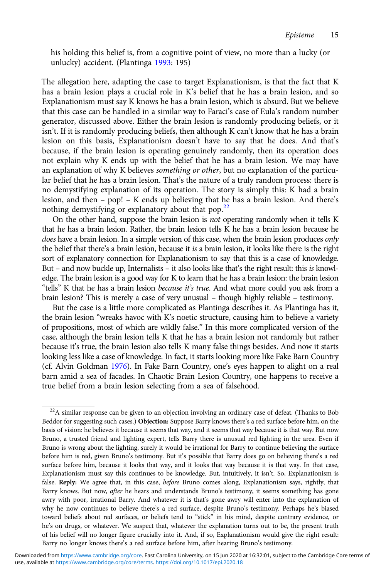his holding this belief is, from a cognitive point of view, no more than a lucky (or unlucky) accident. (Plantinga [1993:](#page-18-0) 195)

The allegation here, adapting the case to target Explanationism, is that the fact that K has a brain lesion plays a crucial role in K's belief that he has a brain lesion, and so Explanationism must say K knows he has a brain lesion, which is absurd. But we believe that this case can be handled in a similar way to Faraci's case of Eula's random number generator, discussed above. Either the brain lesion is randomly producing beliefs, or it isn't. If it is randomly producing beliefs, then although K can't know that he has a brain lesion on this basis, Explanationism doesn't have to say that he does. And that's because, if the brain lesion is operating genuinely randomly, then its operation does not explain why K ends up with the belief that he has a brain lesion. We may have an explanation of why K believes something or other, but no explanation of the particular belief that he has a brain lesion. That's the nature of a truly random process: there is no demystifying explanation of its operation. The story is simply this: K had a brain lesion, and then – pop! – K ends up believing that he has a brain lesion. And there's nothing demystifying or explanatory about that pop.<sup>22</sup>

On the other hand, suppose the brain lesion is not operating randomly when it tells K that he has a brain lesion. Rather, the brain lesion tells K he has a brain lesion because he does have a brain lesion. In a simple version of this case, when the brain lesion produces only the belief that there's a brain lesion, because it is a brain lesion, it looks like there is the right sort of explanatory connection for Explanationism to say that this is a case of knowledge. But – and now buckle up, Internalists – it also looks like that's the right result: this is knowledge. The brain lesion is a good way for K to learn that he has a brain lesion: the brain lesion "tells" K that he has a brain lesion because it's true. And what more could you ask from a brain lesion? This is merely a case of very unusual – though highly reliable – testimony.

But the case is a little more complicated as Plantinga describes it. As Plantinga has it, the brain lesion "wreaks havoc with K's noetic structure, causing him to believe a variety of propositions, most of which are wildly false." In this more complicated version of the case, although the brain lesion tells K that he has a brain lesion not randomly but rather because it's true, the brain lesion also tells K many false things besides. And now it starts looking less like a case of knowledge. In fact, it starts looking more like Fake Barn Country (cf. Alvin Goldman [1976\)](#page-17-0). In Fake Barn Country, one's eyes happen to alight on a real barn amid a sea of facades. In Chaotic Brain Lesion Country, one happens to receive a true belief from a brain lesion selecting from a sea of falsehood.

 $22A$  similar response can be given to an objection involving an ordinary case of defeat. (Thanks to Bob Beddor for suggesting such cases.) Objection: Suppose Barry knows there's a red surface before him, on the basis of vision: he believes it because it seems that way, and it seems that way because it is that way. But now Bruno, a trusted friend and lighting expert, tells Barry there is unusual red lighting in the area. Even if Bruno is wrong about the lighting, surely it would be irrational for Barry to continue believing the surface before him is red, given Bruno's testimony. But it's possible that Barry does go on believing there's a red surface before him, because it looks that way, and it looks that way because it is that way. In that case, Explanationism must say this continues to be knowledge. But, intuitively, it isn't. So, Explanationism is false. Reply: We agree that, in this case, before Bruno comes along, Explanationism says, rightly, that Barry knows. But now, after he hears and understands Bruno's testimony, it seems something has gone awry with poor, irrational Barry. And whatever it is that's gone awry will enter into the explanation of why he now continues to believe there's a red surface, despite Bruno's testimony. Perhaps he's biased toward beliefs about red surfaces, or beliefs tend to "stick" in his mind, despite contrary evidence, or he's on drugs, or whatever. We suspect that, whatever the explanation turns out to be, the present truth of his belief will no longer figure crucially into it. And, if so, Explanationism would give the right result: Barry no longer knows there's a red surface before him, after hearing Bruno's testimony.

use, available at <https://www.cambridge.org/core/terms>.<https://doi.org/10.1017/epi.2020.18> Downloaded from [https://www.cambridge.org/core.](https://www.cambridge.org/core) East Carolina University, on 15 Jun 2020 at 16:32:01, subject to the Cambridge Core terms of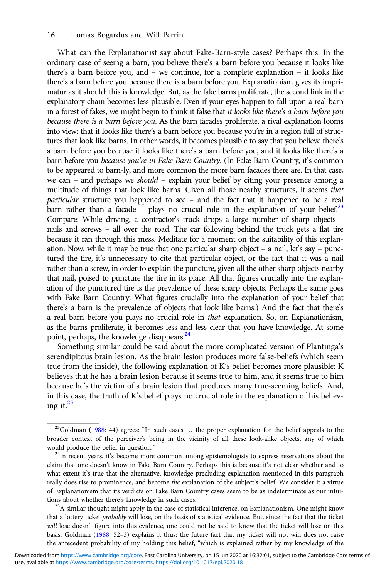What can the Explanationist say about Fake-Barn-style cases? Perhaps this. In the ordinary case of seeing a barn, you believe there's a barn before you because it looks like there's a barn before you, and – we continue, for a complete explanation – it looks like there's a barn before you because there is a barn before you. Explanationism gives its imprimatur as it should: this is knowledge. But, as the fake barns proliferate, the second link in the explanatory chain becomes less plausible. Even if your eyes happen to fall upon a real barn in a forest of fakes, we might begin to think it false that it looks like there's a barn before you because there is a barn before you. As the barn facades proliferate, a rival explanation looms into view: that it looks like there's a barn before you because you're in a region full of structures that look like barns. In other words, it becomes plausible to say that you believe there's a barn before you because it looks like there's a barn before you, and it looks like there's a barn before you because you're in Fake Barn Country. (In Fake Barn Country, it's common to be appeared to barn-ly, and more common the more barn facades there are. In that case, we can – and perhaps we should – explain your belief by citing your presence among a multitude of things that look like barns. Given all those nearby structures, it seems that particular structure you happened to see – and the fact that it happened to be a real barn rather than a facade – plays no crucial role in the explanation of your belief.<sup>23</sup> Compare: While driving, a contractor's truck drops a large number of sharp objects – nails and screws – all over the road. The car following behind the truck gets a flat tire because it ran through this mess. Meditate for a moment on the suitability of this explanation. Now, while it may be true that one particular sharp object – a nail, let's say – punctured the tire, it's unnecessary to cite that particular object, or the fact that it was a nail rather than a screw, in order to explain the puncture, given all the other sharp objects nearby that nail, poised to puncture the tire in its place. All that figures crucially into the explanation of the punctured tire is the prevalence of these sharp objects. Perhaps the same goes with Fake Barn Country. What figures crucially into the explanation of your belief that there's a barn is the prevalence of objects that look like barns.) And the fact that there's a real barn before you plays no crucial role in that explanation. So, on Explanationism, as the barns proliferate, it becomes less and less clear that you have knowledge. At some point, perhaps, the knowledge disappears.<sup>24</sup>

Something similar could be said about the more complicated version of Plantinga's serendipitous brain lesion. As the brain lesion produces more false-beliefs (which seem true from the inside), the following explanation of K's belief becomes more plausible: K believes that he has a brain lesion because it seems true to him, and it seems true to him because he's the victim of a brain lesion that produces many true-seeming beliefs. And, in this case, the truth of K's belief plays no crucial role in the explanation of his believing it. $^{25}$ 

<sup>&</sup>lt;sup>23</sup>Goldman ([1988:](#page-17-0) 44) agrees: "In such cases ... the proper explanation for the belief appeals to the broader context of the perceiver's being in the vicinity of all these look-alike objects, any of which would produce the belief in question."<br><sup>24</sup>In recent years, it's become more common among epistemologists to express reservations about the

claim that one doesn't know in Fake Barn Country. Perhaps this is because it's not clear whether and to what extent it's true that the alternative, knowledge-precluding explanation mentioned in this paragraph really does rise to prominence, and become the explanation of the subject's belief. We consider it a virtue of Explanationism that its verdicts on Fake Barn Country cases seem to be as indeterminate as our intuitions about whether there's knowledge in such cases.<br><sup>25</sup>A similar thought might apply in the case of statistical inference, on Explanationism. One might know

that a lottery ticket probably will lose, on the basis of statistical evidence. But, since the fact that the ticket will lose doesn't figure into this evidence, one could not be said to know that the ticket will lose on this basis. Goldman ([1988](#page-17-0): 52–3) explains it thus: the future fact that my ticket will not win does not raise the antecedent probability of my holding this belief, "which is explained rather by my knowledge of the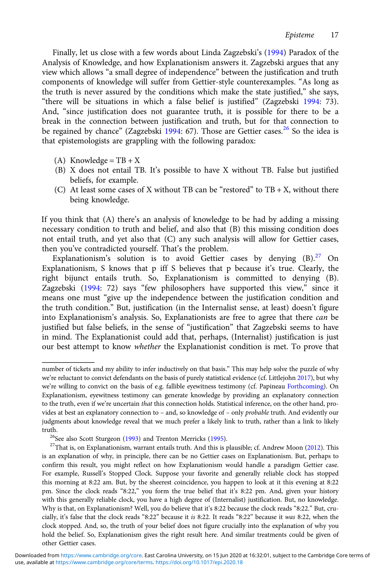Finally, let us close with a few words about Linda Zagzebski's [\(1994](#page-18-0)) Paradox of the Analysis of Knowledge, and how Explanationism answers it. Zagzebski argues that any view which allows "a small degree of independence" between the justification and truth components of knowledge will suffer from Gettier-style counterexamples. "As long as the truth is never assured by the conditions which make the state justified," she says, "there will be situations in which a false belief is justified" (Zagzebski [1994](#page-18-0): 73). And, "since justification does not guarantee truth, it is possible for there to be a break in the connection between justification and truth, but for that connection to be regained by chance" (Zagzebski [1994](#page-18-0): 67). Those are Gettier cases.<sup>26</sup> So the idea is that epistemologists are grappling with the following paradox:

- (A) Knowledge =  $TB + X$
- (B) X does not entail TB. It's possible to have X without TB. False but justified beliefs, for example.
- (C) At least some cases of X without TB can be "restored" to  $TB + X$ , without there being knowledge.

If you think that (A) there's an analysis of knowledge to be had by adding a missing necessary condition to truth and belief, and also that (B) this missing condition does not entail truth, and yet also that (C) any such analysis will allow for Gettier cases, then you've contradicted yourself. That's the problem.

Explanationism's solution is to avoid Gettier cases by denying  $(B)$ .<sup>27</sup> On Explanationism, S knows that p iff S believes that p because it's true. Clearly, the right bijunct entails truth. So, Explanationism is committed to denying (B). Zagzebski [\(1994:](#page-18-0) 72) says "few philosophers have supported this view," since it means one must "give up the independence between the justification condition and the truth condition." But, justification (in the Internalist sense, at least) doesn't figure into Explanationism's analysis. So, Explanationists are free to agree that there can be justified but false beliefs, in the sense of "justification" that Zagzebski seems to have in mind. The Explanationist could add that, perhaps, (Internalist) justification is just our best attempt to know whether the Explanationist condition is met. To prove that

number of tickets and my ability to infer inductively on that basis." This may help solve the puzzle of why we're reluctant to convict defendants on the basis of purely statistical evidence (cf. Littlejohn [2017](#page-18-0)), but why we're willing to convict on the basis of e.g. fallible eyewitness testimony (cf. Papineau [Forthcoming\)](#page-18-0). On Explanationism, eyewitness testimony can generate knowledge by providing an explanatory connection to the truth, even if we're uncertain that this connection holds. Statistical inference, on the other hand, provides at best an explanatory connection to - and, so knowledge of - only *probable* truth. And evidently our judgments about knowledge reveal that we much prefer a likely link to truth, rather than a link to likely

truth.<br><sup>26</sup>See also Scott Sturgeon [\(1993\)](#page-18-0) and Trenton Merricks [\(1995](#page-18-0)).<br><sup>27</sup>That is, on Explanationism, warrant entails truth. And this is plausible; cf. Andrew Moon [\(2012\)](#page-18-0). This is an explanation of why, in principle, there can be no Gettier cases on Explanationism. But, perhaps to confirm this result, you might reflect on how Explanationism would handle a paradigm Gettier case. For example, Russell's Stopped Clock. Suppose your favorite and generally reliable clock has stopped this morning at 8:22 am. But, by the sheerest coincidence, you happen to look at it this evening at 8:22 pm. Since the clock reads "8:22," you form the true belief that it's 8:22 pm. And, given your history with this generally reliable clock, you have a high degree of (Internalist) justification. But, no knowledge. Why is that, on Explanationism? Well, you do believe that it's 8:22 because the clock reads "8:22." But, crucially, it's false that the clock reads "8:22" because it is 8:22. It reads "8:22" because it was 8:22, when the clock stopped. And, so, the truth of your belief does not figure crucially into the explanation of why you hold the belief. So, Explanationism gives the right result here. And similar treatments could be given of other Gettier cases.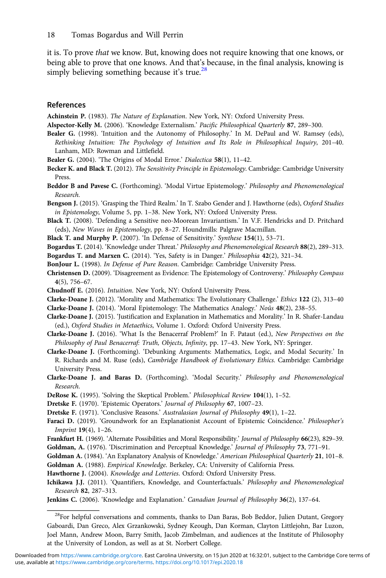<span id="page-17-0"></span>it is. To prove that we know. But, knowing does not require knowing that one knows, or being able to prove that one knows. And that's because, in the final analysis, knowing is simply believing something because it's true.<sup>28</sup>

#### References

Achinstein P. (1983). The Nature of Explanation. New York, NY: Oxford University Press.

- Alspector-Kelly M. (2006). 'Knowledge Externalism.' Pacific Philosophical Quarterly 87, 289-300.
- Bealer G. (1998). 'Intuition and the Autonomy of Philosophy.' In M. DePaul and W. Ramsey (eds), Rethinking Intuition: The Psychology of Intuition and Its Role in Philosophical Inquiry, 201–40. Lanham, MD: Rowman and Littlefield.
- Bealer G. (2004). 'The Origins of Modal Error.' Dialectica 58(1), 11-42.
- Becker K. and Black T. (2012). The Sensitivity Principle in Epistemology. Cambridge: Cambridge University Press.
- Beddor B and Pavese C. (Forthcoming). 'Modal Virtue Epistemology.' Philosophy and Phenomenological Research.
- Bengson J. (2015). 'Grasping the Third Realm.' In T. Szabo Gender and J. Hawthorne (eds), Oxford Studies in Epistemology, Volume 5, pp. 1–38. New York, NY: Oxford University Press.
- Black T. (2008). 'Defending a Sensitive neo-Moorean Invariantism.' In V.F. Hendricks and D. Pritchard (eds), New Waves in Epistemology, pp. 8–27. Houndmills: Palgrave Macmillan.
- Black T. and Murphy P. (2007). 'In Defense of Sensitivity.' Synthese 154(1), 53–71.

Bogardus T. (2014). 'Knowledge under Threat.' Philosophy and Phenomenological Research 88(2), 289–313.

Bogardus T. and Marxen C. (2014). 'Yes, Safety is in Danger.' Philosophia 42(2), 321–34.

BonJour L. (1998). In Defense of Pure Reason. Cambridge: Cambridge University Press.

- Christensen D. (2009). 'Disagreement as Evidence: The Epistemology of Controversy.' Philosophy Compass 4(5), 756–67.
- Chudnoff E. (2016). Intuition. New York, NY: Oxford University Press.
- Clarke-Doane J. (2012). 'Morality and Mathematics: The Evolutionary Challenge.' Ethics 122 (2), 313–40
- Clarke-Doane J. (2014). 'Moral Epistemology: The Mathematics Analogy.' Noûs 48(2), 238–55.
- Clarke-Doane J. (2015). 'Justification and Explanation in Mathematics and Morality.' In R. Shafer-Landau (ed.), Oxford Studies in Metaethics, Volume 1. Oxford: Oxford University Press.
- Clarke-Doane J. (2016). 'What Is the Benacerraf Problem?' In F. Pataut (ed.), New Perspectives on the Philosophy of Paul Benacerraf: Truth, Objects, Infinity, pp. 17–43. New York, NY: Springer.
- Clarke-Doane J. (Forthcoming). 'Debunking Arguments: Mathematics, Logic, and Modal Security.' In R. Richards and M. Ruse (eds), Cambridge Handbook of Evolutionary Ethics. Cambridge: Cambridge University Press.
- Clarke-Doane J. and Baras D. (Forthcoming). 'Modal Security.' Philosophy and Phenomenological Research.
- DeRose K. (1995). 'Solving the Skeptical Problem.' Philosophical Review 104(1), 1–52.

Dretske F. (1970). 'Epistemic Operators.' Journal of Philosophy 67, 1007–23.

- Dretske F. (1971). 'Conclusive Reasons.' Australasian Journal of Philosophy 49(1), 1–22.
- Faraci D. (2019). 'Groundwork for an Explanationist Account of Epistemic Coincidence.' Philosopher's Imprint 19(4), 1–26.
- Frankfurt H. (1969). 'Alternate Possibilities and Moral Responsibility.' Journal of Philosophy 66(23), 829–39.
- Goldman, A. (1976). 'Discrimination and Perceptual Knowledge.' Journal of Philosophy 73, 771–91.
- Goldman A. (1984). 'An Explanatory Analysis of Knowledge.' American Philosophical Quarterly 21, 101–8.
- Goldman A. (1988). Empirical Knowledge. Berkeley, CA: University of California Press.

Hawthorne J. (2004). Knowledge and Lotteries. Oxford: Oxford University Press.

Ichikawa J.J. (2011). 'Quantifiers, Knowledge, and Counterfactuals.' Philosophy and Phenomenological Research 82, 287–313.

Jenkins C. (2006). 'Knowledge and Explanation.' Canadian Journal of Philosophy 36(2), 137–64.

<sup>&</sup>lt;sup>28</sup>For helpful conversations and comments, thanks to Dan Baras, Bob Beddor, Julien Dutant, Gregory Gaboardi, Dan Greco, Alex Grzankowski, Sydney Keough, Dan Korman, Clayton Littlejohn, Bar Luzon, Joel Mann, Andrew Moon, Barry Smith, Jacob Zimbelman, and audiences at the Institute of Philosophy at the University of London, as well as at St. Norbert College.

use, available at <https://www.cambridge.org/core/terms>.<https://doi.org/10.1017/epi.2020.18> Downloaded from [https://www.cambridge.org/core.](https://www.cambridge.org/core) East Carolina University, on 15 Jun 2020 at 16:32:01, subject to the Cambridge Core terms of